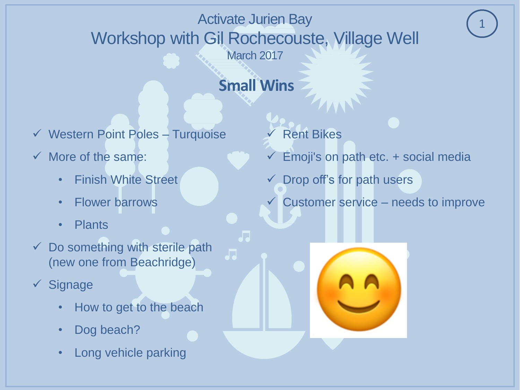# **Small Wins**

- $\checkmark$  Western Point Poles Turquoise
- $\checkmark$  More of the same:
	- Finish White Street
	- Flower barrows
	- Plants
- $\checkmark$  Do something with sterile path (new one from Beachridge)
- $\checkmark$  Signage
	- How to get to the beach
	- Dog beach?
	- Long vehicle parking
- Rent Bikes
- Emoji's on path etc. + social media
- Drop off's for path users
- Customer service needs to improve

1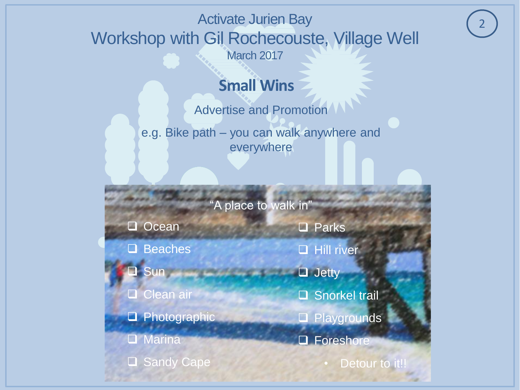# **Small Wins**

Advertise and Promotion

e.g. Bike path – you can walk anywhere and everywhere

"A place to walk in"

**Q** Ocean

- □ Beaches
- **3** Sun oring page of all

**Q** Clean air

**Q** Photographic

**Q** Marina

Sandy Cape

**Q** Parks

**Hill river** 

 $\Box$  Jetty

□ Snorkel trail

**Q** Playgrounds

□ Foreshore

Detour to it!!

2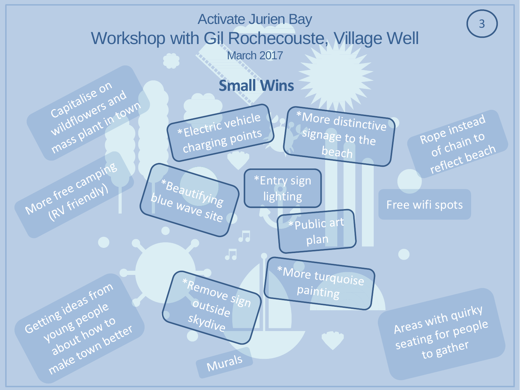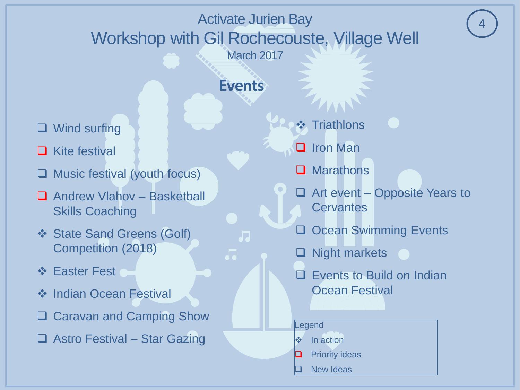### **Events**

JJ

- □ Wind surfing
- **□** Kite festival
- Music festival (youth focus)
- □ Andrew Vlahov Basketball Skills Coaching
- **❖ State Sand Greens (Golf)** Competition (2018)
- ❖ Easter Fest
- **❖** Indian Ocean Festival
- **□ Caravan and Camping Show**
- □ Astro Festival Star Gazing
- **❖ Triathlons**
- **I** Iron Man
- **Marathons**
- $\Box$  Art event Opposite Years to **Cervantes**

4

- Ocean Swimming Events
- Night markets
- Events to Build on Indian Ocean Festival

#### **Legend**

- $\cdot$  In action
- Priority ideas
- New Ideas